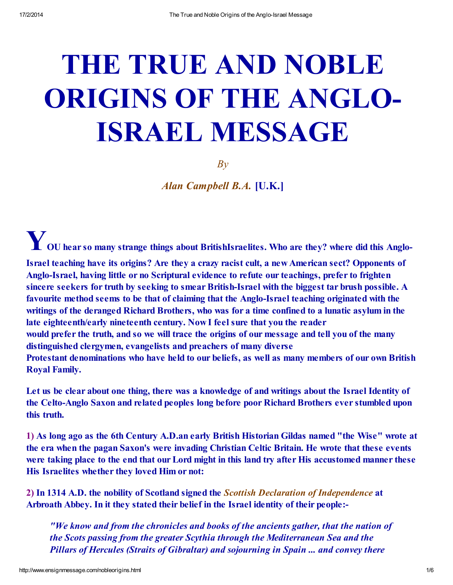# THE TRUE AND NOBLE ORIGINS OF THE ANGLO-ISRAEL MESSAGE

*By*

*Alan Campbell B.A.* [U.K.]

Y OU hear so many strange things about BritishIsraelites. Who are they? where did this Anglo-Israel teaching have its origins? Are they a crazy racist cult, a new American sect? Opponents of Anglo-Israel, having little or no Scriptural evidence to refute our teachings, prefer to frighten sincere seekers for truth by seeking to smear British-Israel with the biggest tar brush possible. A favourite method seems to be that of claiming that the Anglo-Israel teaching originated with the writings of the deranged Richard Brothers, who was for a time confined to a lunatic asylum in the late eighteenth/early nineteenth century. Now I feel sure that you the reader would prefer the truth, and so we will trace the origins of our message and tell you of the many distinguished clergymen, evangelists and preachers of many diverse Protestant denominations who have held to our beliefs, as well as many members of our own British Royal Family.

Let us be clear about one thing, there was a knowledge of and writings about the Israel Identity of the Celto-Anglo Saxon and related peoples long before poor Richard Brothers ever stumbled upon this truth.

1) As long ago as the 6th Century A.D.an early British Historian Gildas named "the Wise" wrote at the era when the pagan Saxon's were invading Christian Celtic Britain. He wrote that these events were taking place to the end that our Lord might in this land try after His accustomed manner these His Israelites whether they loved Him or not:

2) In 1314 A.D. the nobility of Scotland signed the *Scottish Declaration of Independence* at Arbroath Abbey. In it they stated their belief in the Israel identity of their people:-

*"We know and from the chronicles and books of the ancients gather, that the nation of the Scots passing from the greater Scythia through the Mediterranean Sea and the Pillars of Hercules (Straits of Gibraltar) and sojourning in Spain ... and convey there*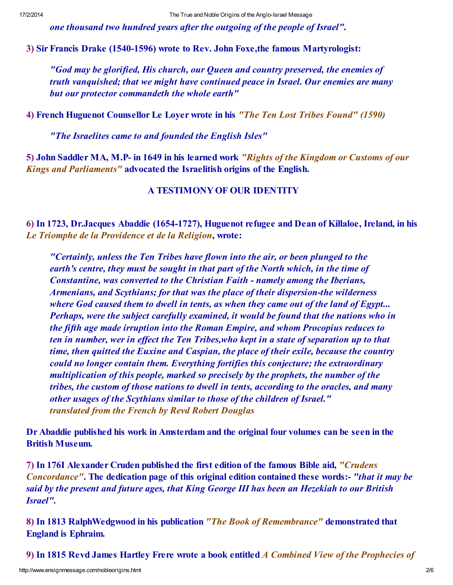*one thousand two hundred years after the outgoing of the people of Israel".*

3) Sir Francis Drake (1540-1596) wrote to Rev. John Foxe,the famous Martyrologist:

*"God may be glorified, His church, our Queen and country preserved, the enemies of truth vanquished; that we might have continued peace in Israel. Our enemies are many but our protector commandeth the whole earth"*

4) French Huguenot Counsellor Le Loyer wrote in his *"The Ten Lost Tribes Found" (1590)*

*"The Israelites came to and founded the English Isles"*

5) John Saddler MA, M.P- in 1649 in his learned work *"Rights of the Kingdom or Customs of our Kings and Parliaments"* advocated the Israelitish origins of the English.

## A TESTIMONYOF OUR IDENTITY

6) In 1723, Dr.Jacques Abaddie (1654-1727), Huguenot refugee and Dean of Killaloe, Ireland, in his *Le Triomphe de la Providence et de la Religion*, wrote:

*"Certainly, unless the Ten Tribes have flown into the air, or been plunged to the earth's centre, they must be sought in that part of the North which, in the time of Constantine, was converted to the Christian Faith - namely among the Iberians, Armenians, and Scythians; for that was the place of their dispersion-the wilderness where God caused them to dwell in tents, as when they came out of the land of Egypt... Perhaps, were the subject carefully examined, it would be found that the nations who in the fifth age made irruption into the Roman Empire, and whom Procopius reduces to ten in number, wer in ef ect the Ten Tribes,who kept in a state of separation up to that time, then quitted the Euxine and Caspian, the place of their exile, because the country could no longer contain them. Everything fortifies this conjecture; the extraordinary multiplication of this people, marked so precisely by the prophets, the number of the tribes, the custom of those nations to dwell in tents, according to the oracles, and many other usages of the Scythians similar to those of the children of Israel." translated from the French by Revd Robert Douglas*

Dr Abaddie published his work in Amsterdam and the original four volumes can be seen in the British Museum.

7) In 176I Alexander Cruden published the first edition of the famous Bible aid, *"Crudens Concordance"*. The dedication page of this original edition contained these words:- *"that it may be said by the present and future ages, that King George III has been an Hezekiah to our British Israel".*

8) In 1813 RalphWedgwood in his publication *"The Book of Remembrance"* demonstrated that England is Ephraim.

9) In 1815 Revd James Hartley Frere wrote a book entitled *A Combined View of the Prophecies of*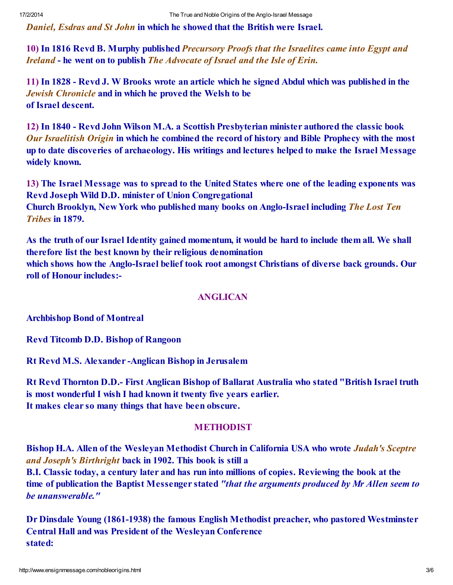*Daniel, Esdras and St John* in which he showed that the British were Israel.

10) In 1816 Revd B. Murphy published *Precursory Proofs that the Israelites came into Egypt and Ireland* - he went on to publish *The Advocate of Israel and the Isle of Erin.*

11) In 1828 - Revd J. W Brooks wrote an article which he signed Abdul which was published in the *Jewish Chronicle* and in which he proved the Welsh to be of Israel descent.

12) In 1840 - Revd John Wilson M.A. a Scottish Presbyterian minister authored the classic book *Our Israelitish Origin* in which he combined the record of history and Bible Prophecy with the most up to date discoveries of archaeology. His writings and lectures helped to make the Israel Message widely known.

13) The Israel Message was to spread to the United States where one of the leading exponents was Revd Joseph Wild D.D. minister of Union Congregational Church Brooklyn, New York who published many books on Anglo-Israel including *The Lost Ten Tribes* in 1879.

As the truth of our Israel Identity gained momentum, it would be hard to include them all. We shall therefore list the best known by their religious denomination which shows how the Anglo-Israel belief took root amongst Christians of diverse back grounds. Our

roll of Honour includes:-

### ANGLICAN

Archbishop Bond of Montreal

Revd Titcomb D.D. Bishop of Rangoon

Rt Revd M.S. Alexander -Anglican Bishop in Jerusalem

Rt Revd Thornton D.D.- First Anglican Bishop of Ballarat Australia who stated "British Israel truth is most wonderful I wish I had known it twenty five years earlier. It makes clear so many things that have been obscure.

### **METHODIST**

Bishop H.A. Allen of the Wesleyan Methodist Church in California USA who wrote *Judah's Sceptre and Joseph's Birthright* back in 1902. This book is still a

B.I. Classic today, a century later and has run into millions of copies. Reviewing the book at the time of publication the Baptist Messenger stated *"that the arguments produced by Mr Allen seem to be unanswerable."*

Dr Dinsdale Young (1861-1938) the famous English Methodist preacher, who pastored Westminster Central Hall and was President of the Wesleyan Conference stated: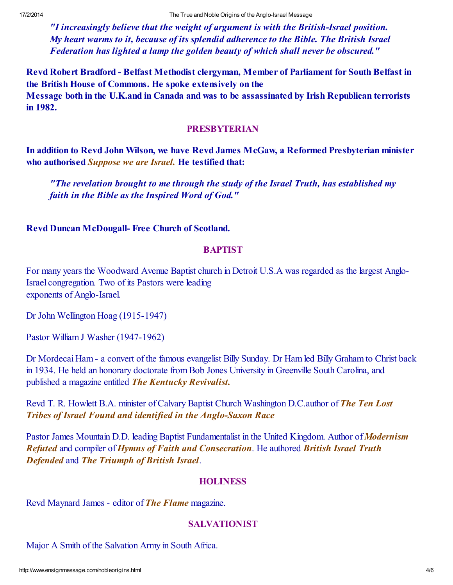*"I increasingly believe that the weight of argument is with the British-Israel position. My heart warms to it, because of its splendid adherence to the Bible. The British Israel Federation has lighted a lamp the golden beauty of which shall never be obscured."*

Revd Robert Bradford - Belfast Methodist clergyman, Member of Parliament for South Belfast in the British House of Commons. He spoke extensively on the Message both in the U.K.and in Canada and was to be assassinated by Irish Republican terrorists in 1982.

### PRESBYTERIAN

In addition to Revd John Wilson, we have Revd James McGaw, a Reformed Presbyterian minister who authorised *Suppose we are Israel.* He testified that:

*"The revelation brought to me through the study of the Israel Truth, has established my faith in the Bible as the Inspired Word of God."*

Revd Duncan McDougall- Free Church of Scotland.

### **BAPTIST**

For many years the Woodward Avenue Baptist church in Detroit U.S.A was regarded as the largest Anglo-Israel congregation. Two of its Pastors were leading exponents of Anglo-Israel.

Dr John Wellington Hoag (1915-1947)

Pastor William J Washer (1947-1962)

Dr Mordecai Ham - a convert of the famous evangelist Billy Sunday. Dr Ham led Billy Graham to Christ back in 1934. He held an honorary doctorate from Bob Jones University in Greenville South Carolina, and published a magazine entitled *The Kentucky Revivalist.*

Revd T. R. Howlett B.A. minister of Calvary Baptist Church Washington D.C.author of *The Ten Lost Tribes of Israel Found and identified in the Anglo-Saxon Race*

Pastor James Mountain D.D. leading Baptist Fundamentalist in the United Kingdom. Author of *Modernism Refuted* and compiler of *Hymns of Faith and Consecration*. He authored *British Israel Truth Defended* and *The Triumph of British Israel*.

### **HOLINESS**

Revd Maynard James - editor of *The Flame* magazine.

## SALVATIONIST

Major A Smith of the Salvation Army in South Africa.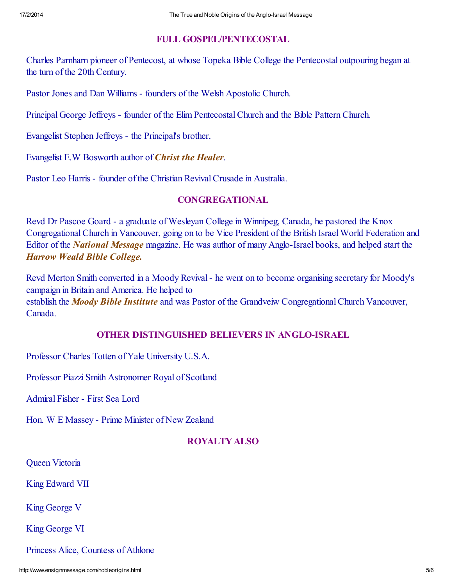## FULL GOSPEL/PENTECOSTAL

Charles Parnharn pioneer of Pentecost, at whose Topeka Bible College the Pentecostal outpouring began at the turn of the 20th Century.

Pastor Jones and Dan Williams - founders of the Welsh Apostolic Church.

Principal George Jeffreys - founder of the Elim PentecostalChurch and the Bible Pattern Church.

Evangelist Stephen Jeffreys - the Principal's brother.

Evangelist E.W Bosworth author of *Christ the Healer*.

Pastor Leo Harris - founder of the Christian Revival Crusade in Australia.

## CONGREGATIONAL

Revd Dr Pascoe Goard - a graduate of Wesleyan College in Winnipeg, Canada, he pastored the Knox CongregationalChurch in Vancouver, going on to be Vice President of the British Israel World Federation and Editor of the *National Message* magazine. He was author of many Anglo-Israel books, and helped start the *Harrow Weald Bible College.*

Revd Merton Smith converted in a Moody Revival- he went on to become organising secretary for Moody's campaign in Britain and America. He helped to establish the *Moody Bible Institute* and was Pastor of the Grandveiw CongregationalChurch Vancouver, Canada.

# OTHER DISTINGUISHED BELIEVERS IN ANGLO-ISRAEL

Professor Charles Totten of Yale University U.S.A.

Professor Piazzi Smith Astronomer Royal of Scotland

Admiral Fisher - First Sea Lord

Hon. W E Massey - Prime Minister of New Zealand

# ROYALTY ALSO

Queen Victoria

King Edward VII

King George V

King George VI

Princess Alice, Countess of Athlone